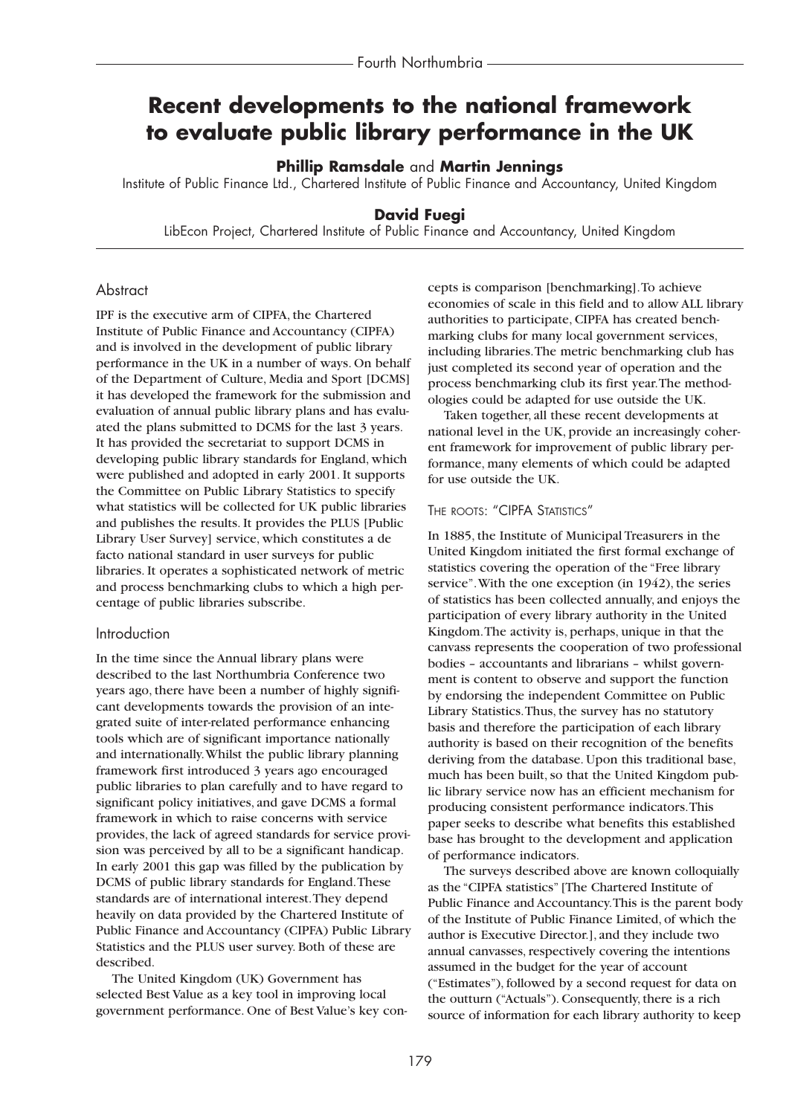# **Recent developments to the national framework to evaluate public library performance in the UK**

## **Phillip Ramsdale** and **Martin Jennings**

Institute of Public Finance Ltd., Chartered Institute of Public Finance and Accountancy, United Kingdom

# **David Fuegi**

LibEcon Project, Chartered Institute of Public Finance and Accountancy, United Kingdom

# **Abstract**

IPF is the executive arm of CIPFA, the Chartered Institute of Public Finance and Accountancy (CIPFA) and is involved in the development of public library performance in the UK in a number of ways. On behalf of the Department of Culture, Media and Sport [DCMS] it has developed the framework for the submission and evaluation of annual public library plans and has evaluated the plans submitted to DCMS for the last 3 years. It has provided the secretariat to support DCMS in developing public library standards for England, which were published and adopted in early 2001. It supports the Committee on Public Library Statistics to specify what statistics will be collected for UK public libraries and publishes the results. It provides the PLUS [Public Library User Survey] service, which constitutes a de facto national standard in user surveys for public libraries. It operates a sophisticated network of metric and process benchmarking clubs to which a high percentage of public libraries subscribe.

## Introduction

In the time since the Annual library plans were described to the last Northumbria Conference two years ago, there have been a number of highly significant developments towards the provision of an integrated suite of inter-related performance enhancing tools which are of significant importance nationally and internationally.Whilst the public library planning framework first introduced 3 years ago encouraged public libraries to plan carefully and to have regard to significant policy initiatives, and gave DCMS a formal framework in which to raise concerns with service provides, the lack of agreed standards for service provision was perceived by all to be a significant handicap. In early 2001 this gap was filled by the publication by DCMS of public library standards for England.These standards are of international interest.They depend heavily on data provided by the Chartered Institute of Public Finance and Accountancy (CIPFA) Public Library Statistics and the PLUS user survey. Both of these are described.

The United Kingdom (UK) Government has selected Best Value as a key tool in improving local government performance. One of Best Value's key concepts is comparison [benchmarking].To achieve economies of scale in this field and to allow ALL library authorities to participate, CIPFA has created benchmarking clubs for many local government services, including libraries.The metric benchmarking club has just completed its second year of operation and the process benchmarking club its first year.The methodologies could be adapted for use outside the UK.

Taken together, all these recent developments at national level in the UK, provide an increasingly coherent framework for improvement of public library performance, many elements of which could be adapted for use outside the UK.

#### THE ROOTS: "CIPFA STATISTICS"

In 1885, the Institute of Municipal Treasurers in the United Kingdom initiated the first formal exchange of statistics covering the operation of the "Free library service".With the one exception (in 1942), the series of statistics has been collected annually, and enjoys the participation of every library authority in the United Kingdom.The activity is, perhaps, unique in that the canvass represents the cooperation of two professional bodies – accountants and librarians – whilst government is content to observe and support the function by endorsing the independent Committee on Public Library Statistics.Thus, the survey has no statutory basis and therefore the participation of each library authority is based on their recognition of the benefits deriving from the database. Upon this traditional base, much has been built, so that the United Kingdom public library service now has an efficient mechanism for producing consistent performance indicators.This paper seeks to describe what benefits this established base has brought to the development and application of performance indicators.

The surveys described above are known colloquially as the "CIPFA statistics" [The Chartered Institute of Public Finance and Accountancy.This is the parent body of the Institute of Public Finance Limited, of which the author is Executive Director.], and they include two annual canvasses, respectively covering the intentions assumed in the budget for the year of account ("Estimates"), followed by a second request for data on the outturn ("Actuals"). Consequently, there is a rich source of information for each library authority to keep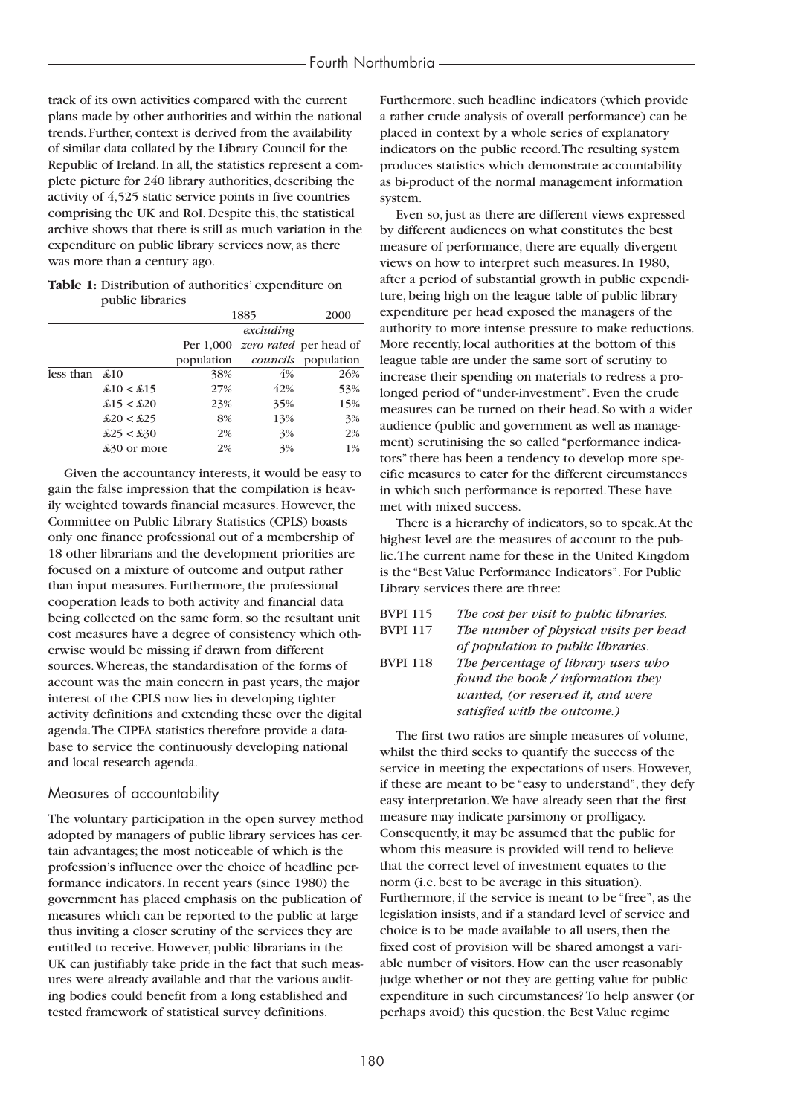track of its own activities compared with the current plans made by other authorities and within the national trends. Further, context is derived from the availability of similar data collated by the Library Council for the Republic of Ireland. In all, the statistics represent a complete picture for 240 library authorities, describing the activity of 4,525 static service points in five countries comprising the UK and RoI. Despite this, the statistical archive shows that there is still as much variation in the expenditure on public library services now, as there was more than a century ago.

**Table 1:** Distribution of authorities' expenditure on public libraries

|                        |                           | 1885       | 2000 |                                         |  |
|------------------------|---------------------------|------------|------|-----------------------------------------|--|
|                        |                           | excluding  |      |                                         |  |
|                        |                           |            |      | Per 1,000 <i>zero rated</i> per head of |  |
|                        |                           | population |      | <i>councils</i> population              |  |
| less than $\pounds 10$ |                           | 38%        | 4%   | 26%                                     |  |
|                        | $\pounds10 < \pounds15$   | 27%        | 42%  | 53%                                     |  |
|                        | $\pounds15 < \pounds20$   | 23%        | 35%  | 15%                                     |  |
|                        | $\pounds 20 < \pounds 25$ | 8%         | 13%  | 3%                                      |  |
|                        | $\pounds25 < \pounds30$   | 2%         | 3%   | 2%                                      |  |
|                        | £30 or more               | 2%         | 3%   | 1%                                      |  |

Given the accountancy interests, it would be easy to gain the false impression that the compilation is heavily weighted towards financial measures. However, the Committee on Public Library Statistics (CPLS) boasts only one finance professional out of a membership of 18 other librarians and the development priorities are focused on a mixture of outcome and output rather than input measures. Furthermore, the professional cooperation leads to both activity and financial data being collected on the same form, so the resultant unit cost measures have a degree of consistency which otherwise would be missing if drawn from different sources.Whereas, the standardisation of the forms of account was the main concern in past years, the major interest of the CPLS now lies in developing tighter activity definitions and extending these over the digital agenda.The CIPFA statistics therefore provide a database to service the continuously developing national and local research agenda.

## Measures of accountability

The voluntary participation in the open survey method adopted by managers of public library services has certain advantages; the most noticeable of which is the profession's influence over the choice of headline performance indicators. In recent years (since 1980) the government has placed emphasis on the publication of measures which can be reported to the public at large thus inviting a closer scrutiny of the services they are entitled to receive. However, public librarians in the UK can justifiably take pride in the fact that such measures were already available and that the various auditing bodies could benefit from a long established and tested framework of statistical survey definitions.

Furthermore, such headline indicators (which provide a rather crude analysis of overall performance) can be placed in context by a whole series of explanatory indicators on the public record.The resulting system produces statistics which demonstrate accountability as bi-product of the normal management information system.

Even so, just as there are different views expressed by different audiences on what constitutes the best measure of performance, there are equally divergent views on how to interpret such measures. In 1980, after a period of substantial growth in public expenditure, being high on the league table of public library expenditure per head exposed the managers of the authority to more intense pressure to make reductions. More recently, local authorities at the bottom of this league table are under the same sort of scrutiny to increase their spending on materials to redress a prolonged period of "under-investment". Even the crude measures can be turned on their head. So with a wider audience (public and government as well as management) scrutinising the so called "performance indicators" there has been a tendency to develop more specific measures to cater for the different circumstances in which such performance is reported.These have met with mixed success.

There is a hierarchy of indicators, so to speak.At the highest level are the measures of account to the public.The current name for these in the United Kingdom is the "Best Value Performance Indicators". For Public Library services there are three:

# BVPI 115 *The cost per visit to public libraries.* BVPI 117 *The number of physical visits per head of population to public libraries*. BVPI 118 *The percentage of library users who found the book / information they*

*wanted, (or reserved it, and were satisfied with the outcome.)*

The first two ratios are simple measures of volume, whilst the third seeks to quantify the success of the service in meeting the expectations of users. However, if these are meant to be "easy to understand", they defy easy interpretation.We have already seen that the first measure may indicate parsimony or profligacy. Consequently, it may be assumed that the public for whom this measure is provided will tend to believe that the correct level of investment equates to the norm (i.e. best to be average in this situation). Furthermore, if the service is meant to be "free", as the legislation insists, and if a standard level of service and choice is to be made available to all users, then the fixed cost of provision will be shared amongst a variable number of visitors. How can the user reasonably judge whether or not they are getting value for public expenditure in such circumstances? To help answer (or perhaps avoid) this question, the Best Value regime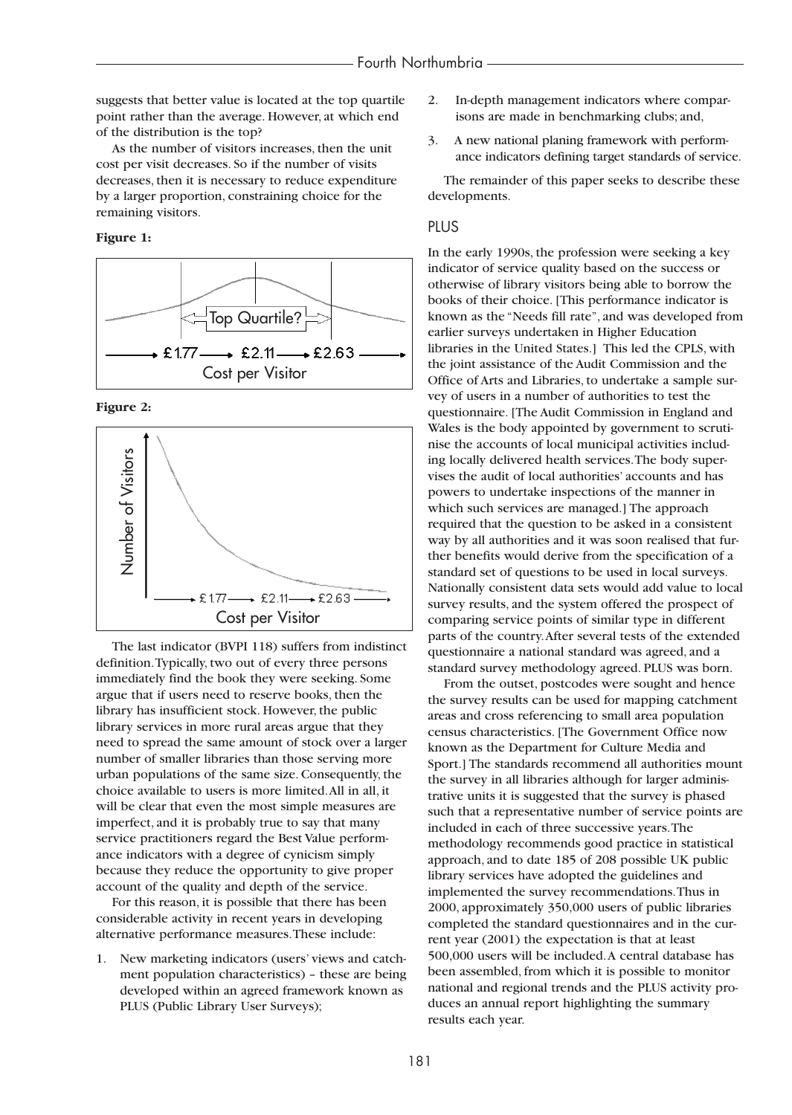suggests that better value is located at the top quartile point rather than the average. However, at which end of the distribution is the top?

As the number of visitors increases, then the unit cost per visit decreases. So if the number of visits decreases, then it is necessary to reduce expenditure by a larger proportion, constraining choice for the remaining visitors.

**Figure 1:**



**Figure 2:**



The last indicator (BVPI 118) suffers from indistinct definition.Typically, two out of every three persons immediately find the book they were seeking. Some argue that if users need to reserve books, then the library has insufficient stock. However, the public library services in more rural areas argue that they need to spread the same amount of stock over a larger number of smaller libraries than those serving more urban populations of the same size. Consequently, the choice available to users is more limited.All in all, it will be clear that even the most simple measures are imperfect, and it is probably true to say that many service practitioners regard the Best Value performance indicators with a degree of cynicism simply because they reduce the opportunity to give proper account of the quality and depth of the service.

For this reason, it is possible that there has been considerable activity in recent years in developing alternative performance measures.These include:

1. New marketing indicators (users' views and catchment population characteristics) – these are being developed within an agreed framework known as PLUS (Public Library User Surveys);

- 2. In-depth management indicators where comparisons are made in benchmarking clubs; and,
- 3. A new national planing framework with performance indicators defining target standards of service.

The remainder of this paper seeks to describe these developments.

## PLUS

In the early 1990s, the profession were seeking a key indicator of service quality based on the success or otherwise of library visitors being able to borrow the books of their choice. [This performance indicator is known as the "Needs fill rate", and was developed from earlier surveys undertaken in Higher Education libraries in the United States.] This led the CPLS, with the joint assistance of the Audit Commission and the Office of Arts and Libraries, to undertake a sample survey of users in a number of authorities to test the questionnaire. [The Audit Commission in England and Wales is the body appointed by government to scrutinise the accounts of local municipal activities including locally delivered health services.The body supervises the audit of local authorities' accounts and has powers to undertake inspections of the manner in which such services are managed.] The approach required that the question to be asked in a consistent way by all authorities and it was soon realised that further benefits would derive from the specification of a standard set of questions to be used in local surveys. Nationally consistent data sets would add value to local survey results, and the system offered the prospect of comparing service points of similar type in different parts of the country.After several tests of the extended questionnaire a national standard was agreed, and a standard survey methodology agreed. PLUS was born.

From the outset, postcodes were sought and hence the survey results can be used for mapping catchment areas and cross referencing to small area population census characteristics. [The Government Office now known as the Department for Culture Media and Sport.] The standards recommend all authorities mount the survey in all libraries although for larger administrative units it is suggested that the survey is phased such that a representative number of service points are included in each of three successive years.The methodology recommends good practice in statistical approach, and to date 185 of 208 possible UK public library services have adopted the guidelines and implemented the survey recommendations.Thus in 2000, approximately 350,000 users of public libraries completed the standard questionnaires and in the current year (2001) the expectation is that at least 500,000 users will be included.A central database has been assembled, from which it is possible to monitor national and regional trends and the PLUS activity produces an annual report highlighting the summary results each year.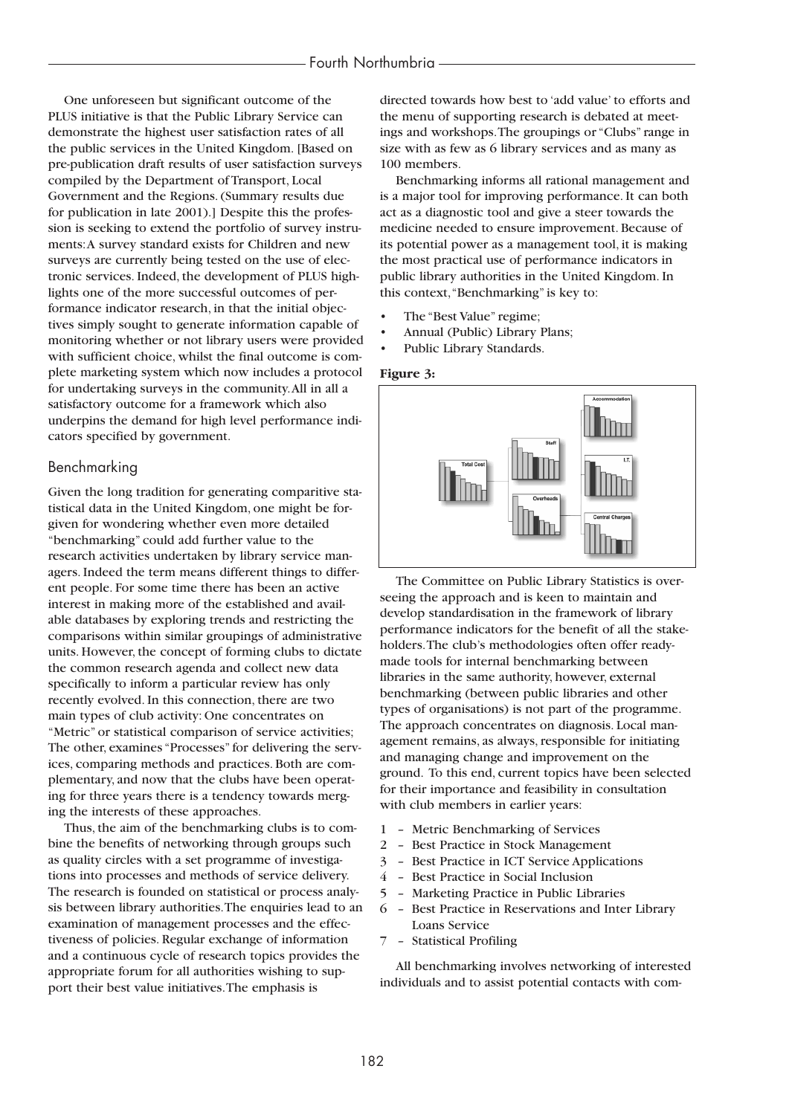One unforeseen but significant outcome of the PLUS initiative is that the Public Library Service can demonstrate the highest user satisfaction rates of all the public services in the United Kingdom. [Based on pre-publication draft results of user satisfaction surveys compiled by the Department of Transport, Local Government and the Regions. (Summary results due for publication in late 2001).] Despite this the profession is seeking to extend the portfolio of survey instruments:A survey standard exists for Children and new surveys are currently being tested on the use of electronic services. Indeed, the development of PLUS highlights one of the more successful outcomes of performance indicator research, in that the initial objectives simply sought to generate information capable of monitoring whether or not library users were provided with sufficient choice, whilst the final outcome is complete marketing system which now includes a protocol for undertaking surveys in the community.All in all a satisfactory outcome for a framework which also underpins the demand for high level performance indicators specified by government.

## Benchmarking

Given the long tradition for generating comparitive statistical data in the United Kingdom, one might be forgiven for wondering whether even more detailed "benchmarking" could add further value to the research activities undertaken by library service managers. Indeed the term means different things to different people. For some time there has been an active interest in making more of the established and available databases by exploring trends and restricting the comparisons within similar groupings of administrative units. However, the concept of forming clubs to dictate the common research agenda and collect new data specifically to inform a particular review has only recently evolved. In this connection, there are two main types of club activity: One concentrates on "Metric" or statistical comparison of service activities; The other, examines "Processes" for delivering the services, comparing methods and practices. Both are complementary, and now that the clubs have been operating for three years there is a tendency towards merging the interests of these approaches.

Thus, the aim of the benchmarking clubs is to combine the benefits of networking through groups such as quality circles with a set programme of investigations into processes and methods of service delivery. The research is founded on statistical or process analysis between library authorities.The enquiries lead to an examination of management processes and the effectiveness of policies. Regular exchange of information and a continuous cycle of research topics provides the appropriate forum for all authorities wishing to support their best value initiatives.The emphasis is

directed towards how best to 'add value' to efforts and the menu of supporting research is debated at meetings and workshops.The groupings or "Clubs" range in size with as few as 6 library services and as many as 100 members.

Benchmarking informs all rational management and is a major tool for improving performance. It can both act as a diagnostic tool and give a steer towards the medicine needed to ensure improvement. Because of its potential power as a management tool, it is making the most practical use of performance indicators in public library authorities in the United Kingdom. In this context,"Benchmarking" is key to:

- The "Best Value" regime;
- Annual (Public) Library Plans;
- Public Library Standards.

#### **Figure 3:**



The Committee on Public Library Statistics is overseeing the approach and is keen to maintain and develop standardisation in the framework of library performance indicators for the benefit of all the stakeholders.The club's methodologies often offer readymade tools for internal benchmarking between libraries in the same authority, however, external benchmarking (between public libraries and other types of organisations) is not part of the programme. The approach concentrates on diagnosis. Local management remains, as always, responsible for initiating and managing change and improvement on the ground. To this end, current topics have been selected for their importance and feasibility in consultation with club members in earlier years:

- 1 Metric Benchmarking of Services
- 2 Best Practice in Stock Management
- 3 Best Practice in ICT Service Applications
- 4 Best Practice in Social Inclusion
- 5 Marketing Practice in Public Libraries
- 6 Best Practice in Reservations and Inter Library Loans Service
- 7 Statistical Profiling

All benchmarking involves networking of interested individuals and to assist potential contacts with com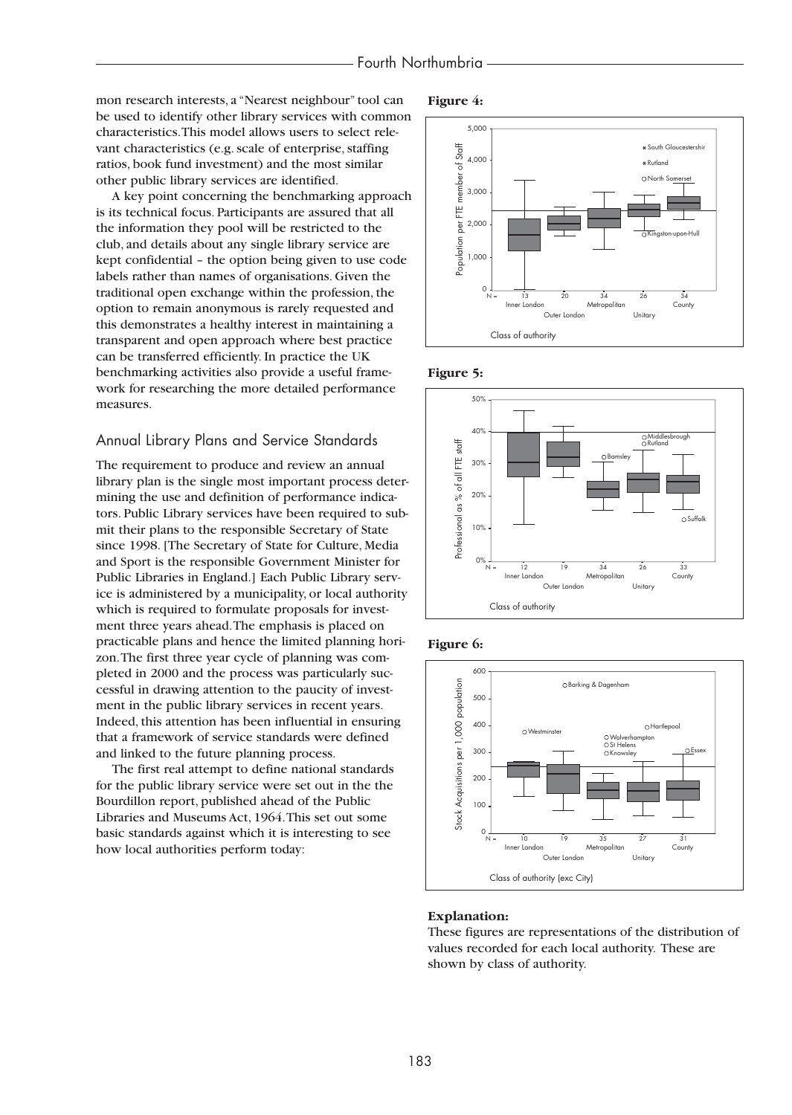mon research interests, a "Nearest neighbour" tool can be used to identify other library services with common characteristics.This model allows users to select relevant characteristics (e.g. scale of enterprise, staffing ratios, book fund investment) and the most similar other public library services are identified.

A key point concerning the benchmarking approach is its technical focus. Participants are assured that all the information they pool will be restricted to the club, and details about any single library service are kept confidential – the option being given to use code labels rather than names of organisations. Given the traditional open exchange within the profession, the option to remain anonymous is rarely requested and this demonstrates a healthy interest in maintaining a transparent and open approach where best practice can be transferred efficiently. In practice the UK benchmarking activities also provide a useful framework for researching the more detailed performance measures.

## Annual Library Plans and Service Standards

The requirement to produce and review an annual library plan is the single most important process determining the use and definition of performance indicators. Public Library services have been required to submit their plans to the responsible Secretary of State since 1998. [The Secretary of State for Culture, Media and Sport is the responsible Government Minister for Public Libraries in England.] Each Public Library service is administered by a municipality, or local authority which is required to formulate proposals for investment three years ahead.The emphasis is placed on practicable plans and hence the limited planning horizon.The first three year cycle of planning was completed in 2000 and the process was particularly successful in drawing attention to the paucity of investment in the public library services in recent years. Indeed, this attention has been influential in ensuring that a framework of service standards were defined and linked to the future planning process.

The first real attempt to define national standards for the public library service were set out in the the Bourdillon report, published ahead of the Public Libraries and Museums Act, 1964.This set out some basic standards against which it is interesting to see how local authorities perform today:













#### **Explanation:**

These figures are representations of the distribution of values recorded for each local authority. These are shown by class of authority.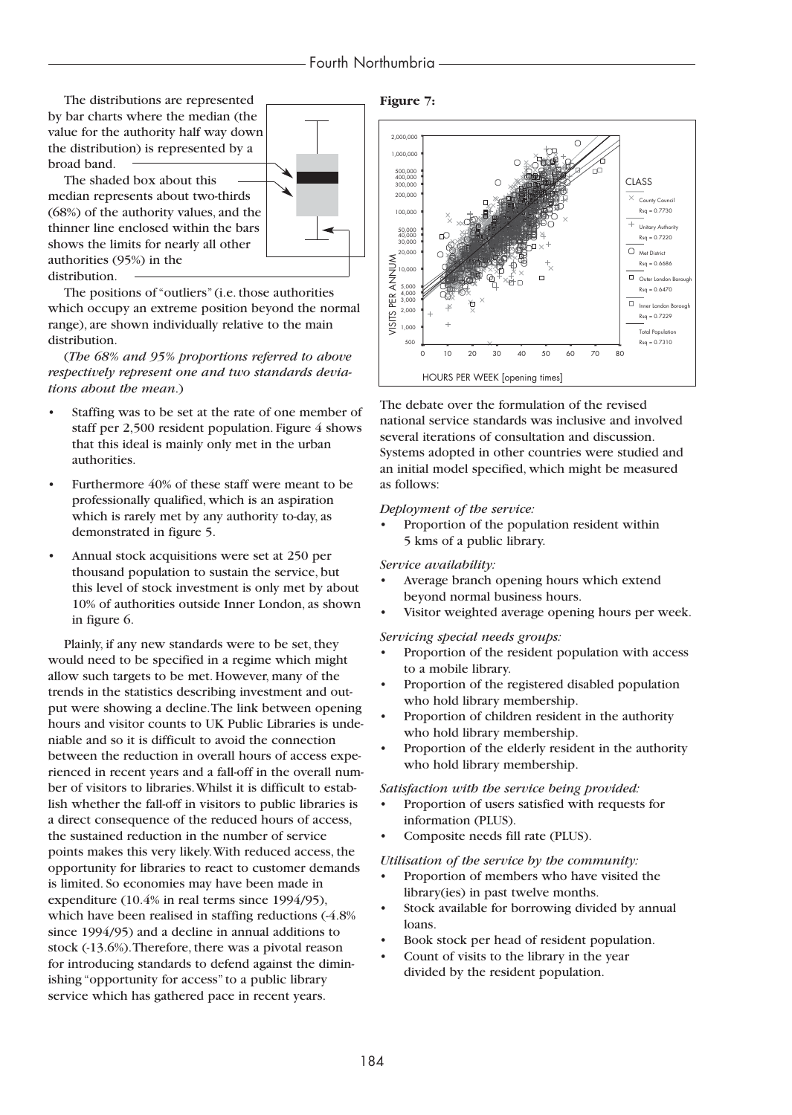# Fourth Northumbria

The distributions are represented by bar charts where the median (the value for the authority half way down the distribution) is represented by a broad band.

The shaded box about this median represents about two-thirds (68%) of the authority values, and the thinner line enclosed within the bars shows the limits for nearly all other authorities (95%) in the distribution.

The positions of "outliers" (i.e. those authorities which occupy an extreme position beyond the normal range), are shown individually relative to the main distribution.

(*The 68% and 95% proportions referred to above respectively represent one and two standards deviations about the mean*.)

- Staffing was to be set at the rate of one member of staff per 2,500 resident population. Figure 4 shows that this ideal is mainly only met in the urban authorities.
- Furthermore 40% of these staff were meant to be professionally qualified, which is an aspiration which is rarely met by any authority to-day, as demonstrated in figure 5.
- Annual stock acquisitions were set at 250 per thousand population to sustain the service, but this level of stock investment is only met by about 10% of authorities outside Inner London, as shown in figure 6.

Plainly, if any new standards were to be set, they would need to be specified in a regime which might allow such targets to be met. However, many of the trends in the statistics describing investment and output were showing a decline.The link between opening hours and visitor counts to UK Public Libraries is undeniable and so it is difficult to avoid the connection between the reduction in overall hours of access experienced in recent years and a fall-off in the overall number of visitors to libraries.Whilst it is difficult to establish whether the fall-off in visitors to public libraries is a direct consequence of the reduced hours of access, the sustained reduction in the number of service points makes this very likely.With reduced access, the opportunity for libraries to react to customer demands is limited. So economies may have been made in expenditure (10.4% in real terms since 1994/95), which have been realised in staffing reductions  $(-4.8\%)$ since 1994/95) and a decline in annual additions to stock (-13.6%).Therefore, there was a pivotal reason for introducing standards to defend against the diminishing "opportunity for access" to a public library service which has gathered pace in recent years.

**Figure 7:**



The debate over the formulation of the revised national service standards was inclusive and involved several iterations of consultation and discussion. Systems adopted in other countries were studied and an initial model specified, which might be measured as follows:

#### *Deployment of the service:*

• Proportion of the population resident within 5 kms of a public library.

#### *Service availability:*

- Average branch opening hours which extend beyond normal business hours.
- Visitor weighted average opening hours per week.

#### *Servicing special needs groups:*

- Proportion of the resident population with access to a mobile library.
- Proportion of the registered disabled population who hold library membership.
- Proportion of children resident in the authority who hold library membership.
- Proportion of the elderly resident in the authority who hold library membership.

#### *Satisfaction with the service being provided:*

- Proportion of users satisfied with requests for information (PLUS).
- Composite needs fill rate (PLUS).

#### *Utilisation of the service by the community:*

- Proportion of members who have visited the library(ies) in past twelve months.
- Stock available for borrowing divided by annual loans.
- Book stock per head of resident population.
- Count of visits to the library in the year divided by the resident population.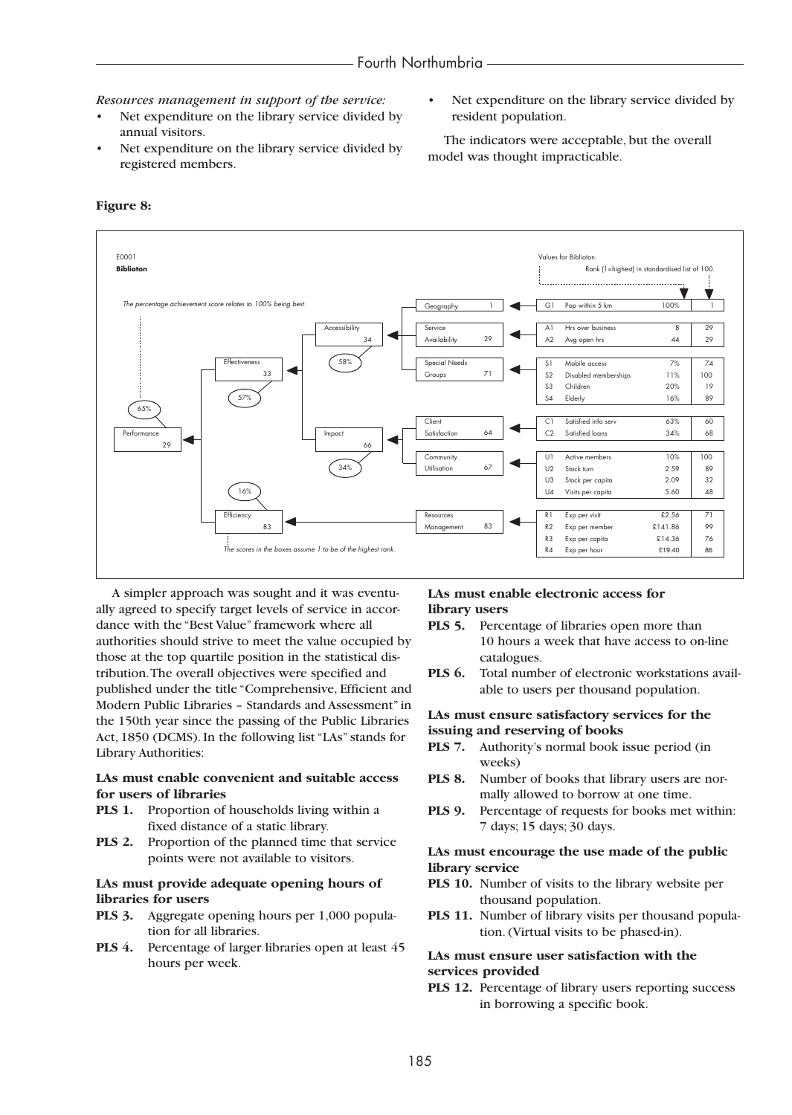*Resources management in support of the service:*

- Net expenditure on the library service divided by annual visitors.
- Net expenditure on the library service divided by registered members.
- E0001 Values for Biblioton. **Biblioton** Rank (1=highest) in standardised list of 100. *The percentive achievement score relates to 100% being best.* Conserved a secography 1 G1 Pop within 5 km 100% 1 Accessibility 34 Availability 29 A1 Hrs over business 8 29<br>34 Availability 29 A2 Ava open hrs 44 29  $34$   $\begin{array}{|c|c|c|c|c|}\n\hline\n34 & A\end{array}$  Availability  $29$   $\begin{array}{|c|c|c|c|c|}\n\hline\n\text{A2} & \text{Avg open hrs} \\
\hline\n\end{array}$  44  $\begin{array}{|c|c|c|c|c|}\n\hline\n29 & A\end{array}$ Effectiveness 58% Special Needs S1 Mobile access 7% 74 33 **C** Groups 71 S2 Disabled memberships 11% 100 S3 Children 20% 19 57% S4 Elderly 16% 89 65% Client C1 Satisfied info serv 63% 60<br>
Satisfaction 64 C2 Satisfied loans 34% 68 Performance Impact Satisfaction 64 C2 Satisfied loans 34% 68 29 | 66 Community U1 Active members 10% 100 34% Utilisation 67 U2 Stock turn 2.59 89 U3 Stock per capita 2.09 32 16% U4 Visits per capita 5.60 48 Efficiency Letter Resources Resources R1 Exp per visit 22.56 71 83 | R2 Exp per member 2141.86 | 99 R3 Exp per capita E14.36 76 **The scores in the boxes assume 1 to be of the highest rank. R4** Exp per hour **E19.40** 86

#### **Figure 8:**

A simpler approach was sought and it was eventually agreed to specify target levels of service in accordance with the "Best Value" framework where all authorities should strive to meet the value occupied by those at the top quartile position in the statistical distribution.The overall objectives were specified and published under the title "Comprehensive, Efficient and Modern Public Libraries – Standards and Assessment" in the 150th year since the passing of the Public Libraries Act, 1850 (DCMS). In the following list "LAs" stands for Library Authorities:

## **LAs must enable convenient and suitable access for users of libraries**

- **PLS 1.** Proportion of households living within a fixed distance of a static library.
- **PLS 2.** Proportion of the planned time that service points were not available to visitors.

## **LAs must provide adequate opening hours of libraries for users**

- **PLS 3.** Aggregate opening hours per 1,000 population for all libraries.
- **PLS 4.** Percentage of larger libraries open at least 45 hours per week.

## **LAs must enable electronic access for library users**

- **PLS 5.** Percentage of libraries open more than 10 hours a week that have access to on-line catalogues.
- **PLS 6.** Total number of electronic workstations available to users per thousand population.

#### **LAs must ensure satisfactory services for the issuing and reserving of books**

- **PLS 7.** Authority's normal book issue period (in weeks)
- **PLS 8.** Number of books that library users are normally allowed to borrow at one time.
- **PLS 9.** Percentage of requests for books met within: 7 days; 15 days; 30 days.

#### **LAs must encourage the use made of the public library service**

- **PLS 10.** Number of visits to the library website per thousand population.
- PLS 11. Number of library visits per thousand population. (Virtual visits to be phased-in).

## **LAs must ensure user satisfaction with the services provided**

**PLS 12.** Percentage of library users reporting success in borrowing a specific book.

resident population.

Net expenditure on the library service divided by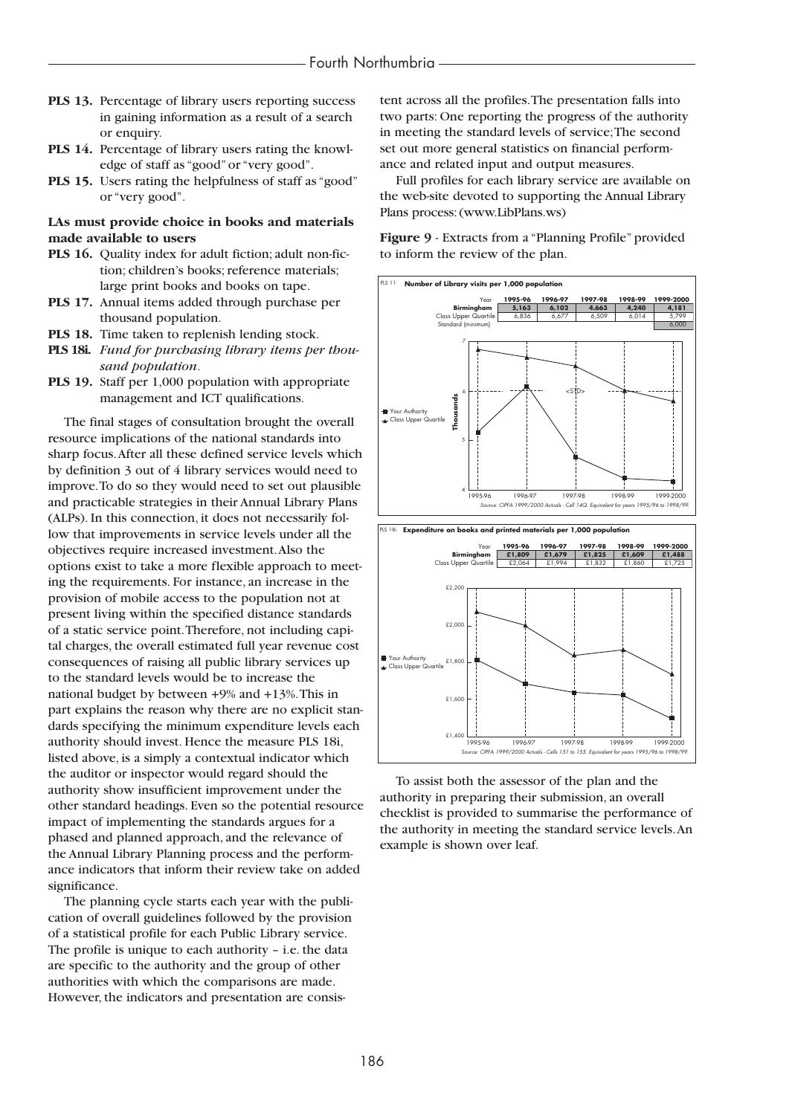- **PLS 13.** Percentage of library users reporting success in gaining information as a result of a search or enquiry.
- **PLS 14.** Percentage of library users rating the knowledge of staff as "good" or "very good".
- **PLS 15.** Users rating the helpfulness of staff as "good" or "very good".

#### **LAs must provide choice in books and materials made available to users**

- **PLS 16.** Quality index for adult fiction; adult non-fiction; children's books; reference materials; large print books and books on tape.
- **PLS 17.** Annual items added through purchase per thousand population.
- **PLS 18.** Time taken to replenish lending stock.
- **PLS 18i.** *Fund for purchasing library items per thousand population*.
- **PLS 19.** Staff per 1,000 population with appropriate management and ICT qualifications.

The final stages of consultation brought the overall resource implications of the national standards into sharp focus.After all these defined service levels which by definition 3 out of 4 library services would need to improve.To do so they would need to set out plausible and practicable strategies in their Annual Library Plans (ALPs). In this connection, it does not necessarily follow that improvements in service levels under all the objectives require increased investment.Also the options exist to take a more flexible approach to meeting the requirements. For instance, an increase in the provision of mobile access to the population not at present living within the specified distance standards of a static service point.Therefore, not including capital charges, the overall estimated full year revenue cost consequences of raising all public library services up to the standard levels would be to increase the national budget by between +9% and +13%.This in part explains the reason why there are no explicit standards specifying the minimum expenditure levels each authority should invest. Hence the measure PLS 18i, listed above, is a simply a contextual indicator which the auditor or inspector would regard should the authority show insufficient improvement under the other standard headings. Even so the potential resource impact of implementing the standards argues for a phased and planned approach, and the relevance of the Annual Library Planning process and the performance indicators that inform their review take on added significance.

The planning cycle starts each year with the publication of overall guidelines followed by the provision of a statistical profile for each Public Library service. The profile is unique to each authority – i.e. the data are specific to the authority and the group of other authorities with which the comparisons are made. However, the indicators and presentation are consistent across all the profiles.The presentation falls into two parts: One reporting the progress of the authority in meeting the standard levels of service;The second set out more general statistics on financial performance and related input and output measures.

Full profiles for each library service are available on the web-site devoted to supporting the Annual Library Plans process: (www.LibPlans.ws)

**Figure 9** - Extracts from a "Planning Profile" provided to inform the review of the plan.



To assist both the assessor of the plan and the authority in preparing their submission, an overall checklist is provided to summarise the performance of the authority in meeting the standard service levels.An example is shown over leaf.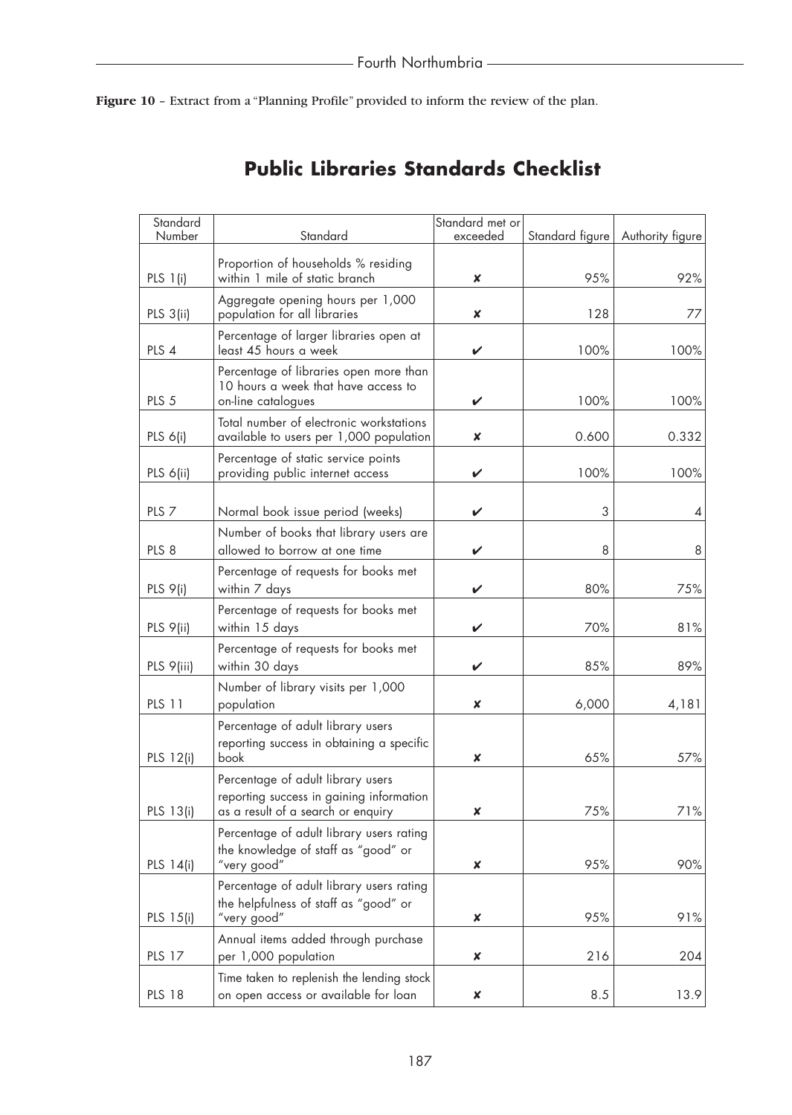Figure 10 - Extract from a "Planning Profile" provided to inform the review of the plan.

| Standard         |                                                                                                                     | Standard met or |                 |                  |
|------------------|---------------------------------------------------------------------------------------------------------------------|-----------------|-----------------|------------------|
| Number           | Standard                                                                                                            | exceeded        | Standard figure | Authority figure |
| PLS $1(i)$       | Proportion of households % residing<br>within 1 mile of static branch                                               | ×               | 95%             | 92%              |
| PLS 3(ii)        | Aggregate opening hours per 1,000<br>population for all libraries                                                   | ×               | 128             | 77               |
| PLS 4            | Percentage of larger libraries open at<br>least 45 hours a week                                                     | V               | 100%            | 100%             |
| PLS <sub>5</sub> | Percentage of libraries open more than<br>10 hours a week that have access to<br>on-line catalogues                 | V               | 100%            | 100%             |
| PLS 6(i)         | Total number of electronic workstations<br>available to users per 1,000 population                                  | ×               | 0.600           | 0.332            |
| PLS 6(ii)        | Percentage of static service points<br>providing public internet access                                             | V               | 100%            | 100%             |
| PLS <sub>7</sub> | Normal book issue period (weeks)                                                                                    | V               | 3               | 4                |
| PLS <sub>8</sub> | Number of books that library users are<br>allowed to borrow at one time                                             | V               | 8               | 8                |
| PLS 9(i)         | Percentage of requests for books met<br>within 7 days                                                               | ✓               | 80%             | 75%              |
| PLS 9(ii)        | Percentage of requests for books met<br>within 15 days                                                              | V               | 70%             | 81%              |
| PLS 9(iii)       | Percentage of requests for books met<br>within 30 days                                                              | V               | 85%             | 89%              |
| <b>PLS 11</b>    | Number of library visits per 1,000<br>population                                                                    | ×               | 6,000           | 4,181            |
| PLS 12(i)        | Percentage of adult library users<br>reporting success in obtaining a specific<br>book                              | ×               | 65%             | 57%              |
| PLS 13(i)        | Percentage of adult library users<br>reporting success in gaining information<br>as a result of a search or enquiry | x               | 75%             | 71%              |
| PLS 14(i)        | Percentage of adult library users rating<br>the knowledge of staff as "good" or<br>"very good"                      | ×               | 95%             | 90%              |
| PLS 15(i)        | Percentage of adult library users rating<br>the helpfulness of staff as "good" or<br>"very good"                    | ×               | 95%             | 91%              |
| <b>PLS 17</b>    | Annual items added through purchase<br>per 1,000 population                                                         | ×               | 216             | 204              |
| <b>PLS 18</b>    | Time taken to replenish the lending stock<br>on open access or available for loan                                   | ×               | 8.5             | 13.9             |